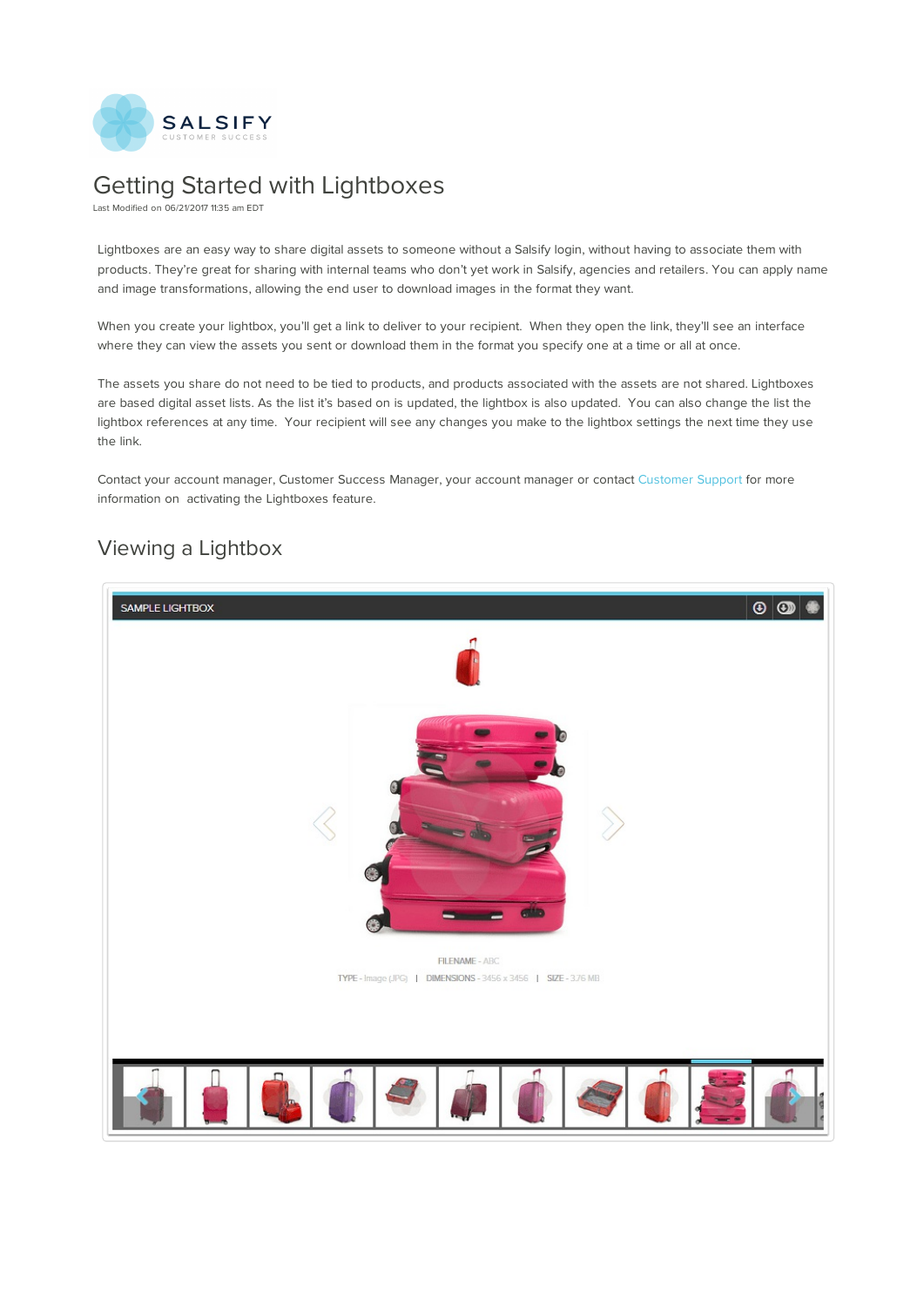

## Getting Started with Lightboxes

Last Modified on 06/21/2017 11:35 am EDT

Lightboxes are an easy way to share digital assets to someone without a Salsify login, without having to associate them with products. They're great for sharing with internal teams who don't yet work in Salsify, agencies and retailers. You can apply name and image transformations, allowing the end user to download images in the format they want.

When you create your lightbox, you'll get a link to deliver to your recipient. When they open the link, they'll see an interface where they can view the assets you sent or download them in the format you specify one at a time or all at once.

The assets you share do not need to be tied to products, and products associated with the assets are not shared. Lightboxes are based digital asset lists. As the list it's based on is updated, the lightbox is also updated. You can also change the list the lightbox references at any time. Your recipient will see any changes you make to the lightbox settings the next time they use the link.

Contact your account manager, Customer Success Manager, your account manager or contact Customer Support for more information on activating the Lightboxes feature.

## Viewing a Lightbox

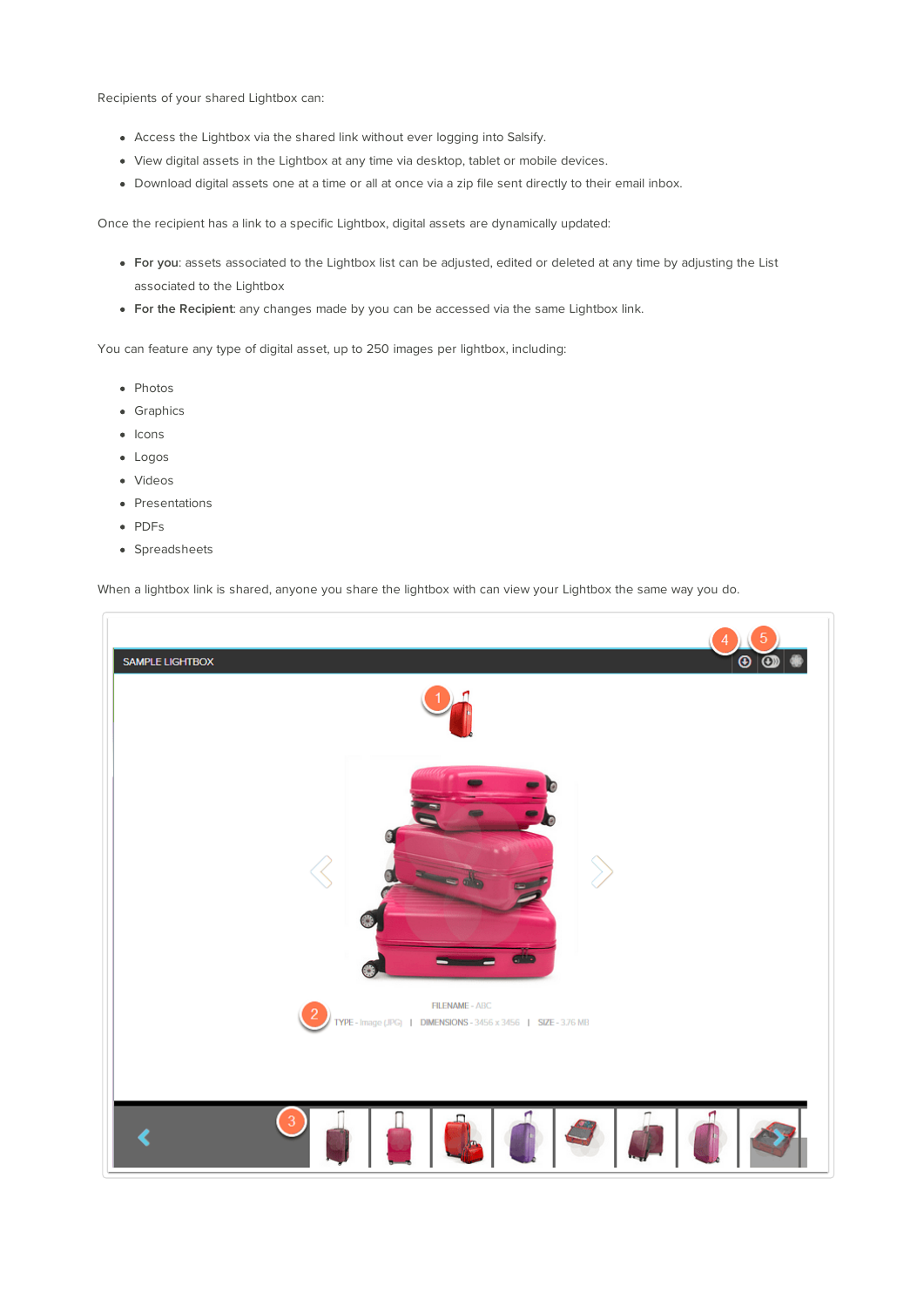Recipients of your shared Lightbox can:

- Access the Lightbox via the shared link without ever logging into Salsify.
- View digital assets in the Lightbox at any time via desktop, tablet or mobile devices.
- Download digital assets one at a time or all at once via a zip file sent directly to their email inbox.

Once the recipient has a link to a specific Lightbox, digital assets are dynamically updated:

- **For you**: assets associated to the Lightbox list can be adjusted, edited or deleted at any time by adjusting the List associated to the Lightbox
- **For the Recipient**: any changes made by you can be accessed via the same Lightbox link.

You can feature any type of digital asset, up to 250 images per lightbox, including:

- Photos
- Graphics
- Icons
- Logos
- Videos
- Presentations
- PDFs
- Spreadsheets

When a lightbox link is shared, anyone you share the lightbox with can view your Lightbox the same way you do.